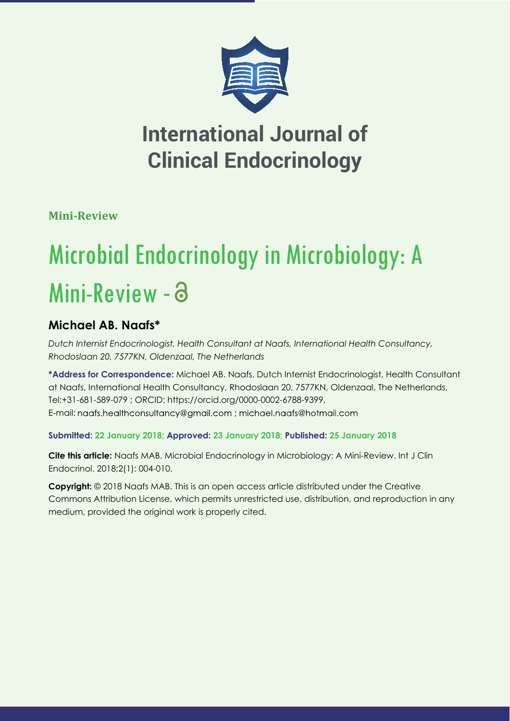

**Mini-Review**

# Microbial Endocrinology in Microbiology: A Mini-Review - a

## **Michael AB. Naafs\***

*Dutch Internist Endocrinologist, Health Consultant at Naafs, International Health Consultancy, Rhodoslaan 20, 7577KN, Oldenzaal, The Netherlands*

**\*Address for Correspondence:** Michael AB. Naafs, Dutch Internist Endocrinologist, Health Consultant at Naafs, International Health Consultancy, Rhodoslaan 20, 7577KN, Oldenzaal, The Netherlands, Tel:+31-681-589-079 ; ORCID: https://orcid.org/0000-0002-6788-9399, E-mail: naafs.healthconsultancy@gmail.com ; michael.naafs@hotmail.com

### **Submitted: 22 January 2018; Approved: 23 January 2018; Published: 25 January 2018**

**Cite this article:** Naafs MAB. Microbial Endocrinology in Microbiology: A Mini-Review. Int J Clin Endocrinol. 2018;2(1): 004-010.

**Copyright:** © 2018 Naafs MAB. This is an open access article distributed under the Creative Commons Attribution License, which permits unrestricted use, distribution, and reproduction in any medium, provided the original work is properly cited.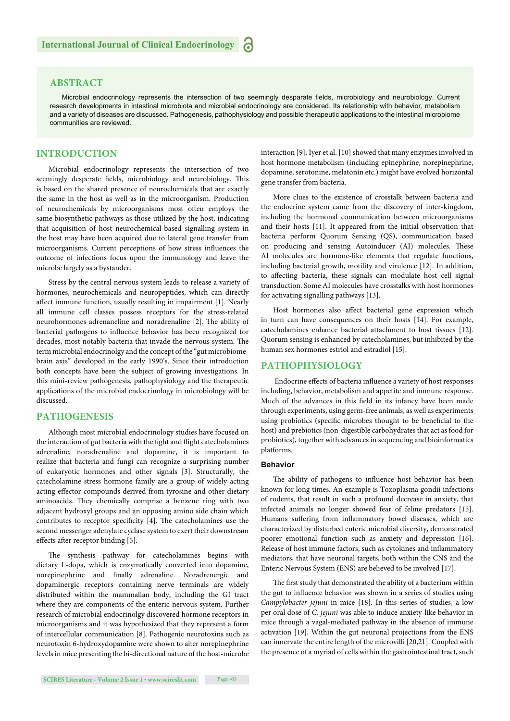#### **ABSTRACT**

Microbial endocrinology represents the intersection of two seemingly desparate fields, microbiology and neurobiology. Current research developments in intestinal microbiota and microbial endocrinology are considered. Its relationship with behavior, metabolism and a variety of diseases are discussed. Pathogenesis, pathophysiology and possible therapeutic applications to the intestinal microbiome communities are reviewed.

#### **INTRODUCTION**

Microbial endocrinology represents the intersection of two seemingly desperate fields, microbiology and neurobiology. This is based on the shared presence of neurochemicals that are exactly the same in the host as well as in the microorganism. Production of neurochemicals by microorganisms most often employs the same biosynthetic pathways as those utilized by the host, indicating that acquisition of host neurochemical-based signalling system in the host may have been acquired due to lateral gene transfer from microorganisms. Current perceptions of how stress influences the outcome of infections focus upon the immunology and leave the microbe largely as a bystander.

Stress by the central nervous system leads to release a variety of hormones, neurochemicals and neuropeptides, which can directly affect immune function, usually resulting in impairment [1]. Nearly all immune cell classes possess receptors for the stress-related neurohormones adrenaneline and noradrenaline [2]. The ability of bacterial pathogens to influence behavior has been recognized for decades, most notably bacteria that invade the nervous system. The term microbial endocrinolgy and the concept of the "gut microbiomebrain axis" developed in the early 1990's. Since their introduction both concepts have been the subject of growing investigations. In this mini-review pathogenesis, pathophysiology and the therapeutic applications of the microbial endocrinology in microbiology will be discussed.

#### **PATHOGENESIS**

Although most microbial endocrinology studies have focused on the interaction of gut bacteria with the fight and flight catecholamines adrenaline, noradrenaline and dopamine, it is important to realize that bacteria and fungi can recognize a surprising number of eukaryotic hormones and other signals [3]. Structurally, the catecholamine stress hormone family are a group of widely acting acting effector compounds derived from tyrosine and other dietary aminoacids. They chemically comprise a benzene ring with two adjacent hydroxyl groups and an opposing amino side chain which contributes to receptor specificity  $[4]$ . The catecholamines use the second messenger adenylate cyclase system to exert their downstream effects after receptor binding [5].

The synthesis pathway for catecholamines begins with dietary L-dopa, which is enzymatically converted into dopamine, norepinephrine and finally adrenaline. Noradrenergic and dopaminergic receptors containing nerve terminals are widely distributed within the mammalian body, including the GI tract where they are components of the enteric nervous system. Further research of microbial endocrinolgy discovered hormone receptors in microorganisms and it was hypothesized that they represent a form of intercellular communication [8]. Pathogenic neurotoxins such as neurotoxin 6-hydroxydopamine were shown to alter norepinephrine levels in mice presenting the bi-directional nature of the host-microbe

interaction [9]. Iyer et al. [10] showed that many enzymes involved in host hormone metabolism (including epinephrine, norepinephrine, dopamine, serotonine, melatonin etc.) might have evolved horizontal gene transfer from bacteria.

More clues to the existence of crosstalk between bacteria and the endocrine system came from the discovery of inter-kingdom, including the hormonal communication between microorganisms and their hosts [11]. It appeared from the initial observation that bacteria perform Quorum Sensing (QS), communication based on producing and sensing Autoinducer (AI) molecules. These AI molecules are hormone-like elements that regulate functions, including bacterial growth, motility and virulence [12]. In addition, to affecting bacteria, these signals can modulate host cell signal transduction. Some AI molecules have crosstalks with host hormones for activating signalling pathways [13].

Host hormones also affect bacterial gene expression which in turn can have consequences on their hosts [14]. For example, catecholamines enhance bacterial attachment to host tissues [12]. Quorum sensing is enhanced by catecholamines, but inhibited by the human sex hormones estriol and estradiol [15].

#### **PATHOPHYSIOLOGY**

Endocrine effects of bacteria influence a variety of host responses including, behavior, metabolism and appetite and immune response. Much of the advances in this field in its infancy have been made through experiments, using germ-free animals, as well as experiments using probiotics (specific microbes thought to be beneficial to the host) and prebiotics (non-digestible carbohydrates that act as food for probiotics), together with advances in sequencing and bioinformatics platforms.

#### **Behavior**

The ability of pathogens to influence host behavior has been known for long times. An example is Toxoplasma gondii infections of rodents, that result in such a profound decrease in anxiety, that infected animals no longer showed fear of feline predators [15]. Humans suffering from inflammatory bowel diseases, which are characterized by disturbed enteric microbial diversity, demonstrated poorer emotional function such as anxiety and depression [16]. Release of host immune factors, such as cytokines and inflammatory mediators, that have neuronal targets, both within the CNS and the Enteric Nervous System (ENS) are believed to be involved [17].

The first study that demonstrated the ability of a bacterium within the gut to influence behavior was shown in a series of studies using *Campylobacter jejuni* in mice [18]. In this series of studies, a low per oral dose of *C. jejuni* was able to induce anxiety-like behavior in mice through a vagal-mediated pathway in the absence of immune activation [19]. Within the gut neuronal projections from the ENS can innervate the entire length of the microvilli [20,21]. Coupled with the presence of a myriad of cells within the gastrointestinal tract, such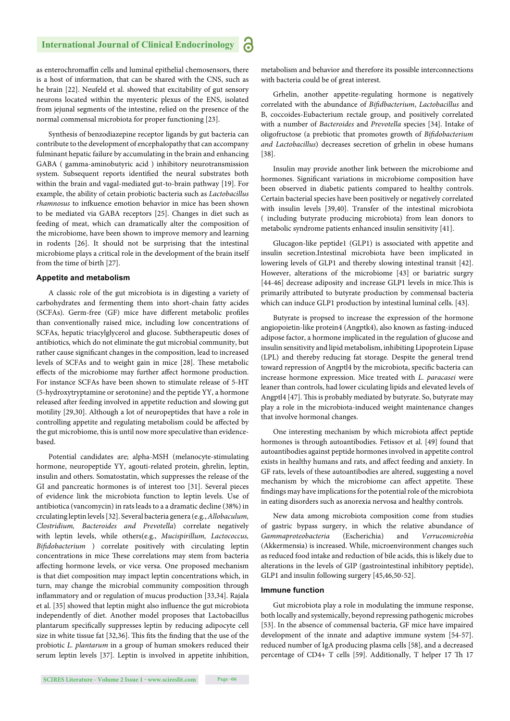as enterochromaffin cells and luminal epithelial chemosensors, there is a host of information, that can be shared with the CNS, such as he brain [22]. Neufeld et al. showed that excitability of gut sensory neurons located within the myenteric plexus of the ENS, isolated from jejunal segments of the intestine, relied on the presence of the normal commensal microbiota for proper functioning [23].

Synthesis of benzodiazepine receptor ligands by gut bacteria can contribute to the development of encephalopathy that can accompany fulminant hepatic failure by accumulating in the brain and enhancing GABA ( gamma-aminobutyric acid ) inhibitory neurotransmission system. Subsequent reports identified the neural substrates both within the brain and vagal-mediated gut-to-brain pathway [19]. For example, the ability of cetain probiotic bacteria such as *Lactobacillus rhamnosus* to infkuence emotion behavior in mice has been shown to be mediated via GABA receptors [25]. Changes in diet such as feeding of meat, which can dramatically alter the composition of the microbiome, have been shown to improve memory and learning in rodents [26]. It should not be surprising that the intestinal microbiome plays a critical role in the development of the brain itself from the time of birth [27].

#### **Appetite and metabolism**

A classic role of the gut microbiota is in digesting a variety of carbohydrates and fermenting them into short-chain fatty acides (SCFAs). Germ-free (GF) mice have different metabolic profiles than conventionally raised mice, including low concentrations of SCFAs, hepatic triacylglycerol and glucose. Subtherapeutic doses of antibiotics, which do not eliminate the gut microbial community, but rather cause significant changes in the composition, lead to increased levels of SCFAs and to weight gain in mice [28]. These metabolic effects of the microbiome may further affect hormone production. For instance SCFAs have been shown to stimulate release of 5-HT (5-hydroxytryptamine or serotonine) and the peptide YY, a hormone released after feeding involved in appetite reduction and slowing gut motility [29,30]. Although a lot of neuropeptides that have a role in controlling appetite and regulating metabolism could be affected by the gut microbiome, this is until now more speculative than evidencebased.

Potential candidates are; alpha-MSH (melanocyte-stimulating hormone, neuropeptide YY, agouti-related protein, ghrelin, leptin, insulin and others. Somatostatin, which suppresses the release of the GI and pancreatic hormones is of interest too [31]. Several pieces of evidence link the microbiota function to leptin levels. Use of antibiotica (vancomycin) in rats leads to a a dramatic decline (38%) in crculating leptin levels [32]. Several bacteria genera (e.g., *Allobaculum, Clostridium, Bacteroides and Prevotella*) correlate negatively with leptin levels, while others(e.g., *Mucispirillum, Lactococcus, Bifi dobacterium* ) correlate positively with circulating leptin concentrations in mice These correlations may stem from bacteria affecting hormone levels, or vice versa. One proposed mechanism is that diet composition may impact leptin concentrations which, in turn, may change the microbial community composition through inflammatory and or regulation of mucus production [33,34]. Rajala et al. [35] showed that leptin might also influence the gut microbiota independently of diet. Another model proposes that Lactobacillus plantarum specifically suppresses leptin by reducing adipocyte cell size in white tissue fat [32,36]. This fits the finding that the use of the probiotic *L. plantarum* in a group of human smokers reduced their serum leptin levels [37]. Leptin is involved in appetite inhibition, metabolism and behavior and therefore its possible interconnections with bacteria could be of great interest.

Grhelin, another appetite-regulating hormone is negatively correlated with the abundance of *Bifi dbacterium*, *Lactobacillus* and B, coccoides-Eubacterium rectale group, and positively correlated with a number of *Bacteroides* and *Prevotella* species [34]. Intake of oligofructose (a prebiotic that promotes growth of *Bifi dobacterium and Lactobacillus*) decreases secretion of grhelin in obese humans [38].

Insulin may provide another link between the microbiome and hormones. Significant variations in microbiome composition have been observed in diabetic patients compared to healthy controls. Certain bacterial species have been positively or negatively correlated with insulin levels [39,40]. Transfer of the intestinal microbiota ( including butyrate producing microbiota) from lean donors to metabolic syndrome patients enhanced insulin sensitivity [41].

Glucagon-like peptide1 (GLP1) is associated with appetite and insulin secretion.Intestinal microbiota have been implicated in lowering levels of GLP1 and thereby slowing intestinal transit [42]. However, alterations of the microbiome [43] or bariatric surgry [44-46] decrease adiposity and increase GLP1 levels in mice.This is primarily attributed to butyrate production by commensal bacteria which can induce GLP1 production by intestinal luminal cells. [43].

Butyrate is propsed to increase the expression of the hormone angiopoietin-like protein4 (Angptk4), also known as fasting-induced adipose factor, a hormone implicated in the regulation of glucose and insulin sensitivity and lipid metabolism, inhibiting Lipoprotein Lipase (LPL) and thereby reducing fat storage. Despite the general trend toward repression of Angptl4 by the microbiota, specific bacteria can increase hormone expression. Mice treated with *L. paracasei* were leaner than controls, had lower ciculating lipids and elevated levels of Angptl4 [47]. This is probably mediated by butyrate. So, butyrate may play a role in the microbiota-induced weight maintenance changes that involve hormonal changes.

One interesting mechanism by which microbiota affect peptide hormones is through autoantibodies. Fetissov et al. [49] found that autoantibodies against peptide hormones involved in appetite control exists in healthy humans and rats, and affect feeding and anxiety. In GF rats, levels of these autoantibodies are altered, suggesting a novel mechanism by which the microbiome can affect appetite. These findings may have implications for the potential role of the microbiota in eating disorders such as anorexia nervosa and healthy controls.

New data among microbiota composition come from studies of gastric bypass surgery, in which the relative abundance of *Gammaproteobacteria* (Escherichia) and *Verrucomicrobia* (Akkermensia) is increased. While, microenvironment changes such as reduced food intake and reduction of bile acids, this is likely due to alterations in the levels of GIP (gastrointestinal inhibitory peptide), GLP1 and insulin following surgery [45,46,50-52].

#### **Immune function**

Gut microbiota play a role in modulating the immune response, both locally and systemically, beyond repressing pathogenic microbes [53]. In the absence of commensal bacteria, GF mice have impaired development of the innate and adaptive immune system [54-57]. reduced number of IgA producing plasma cells [58], and a decreased percentage of CD4+ T cells [59]. Additionally, T helper 17 Th 17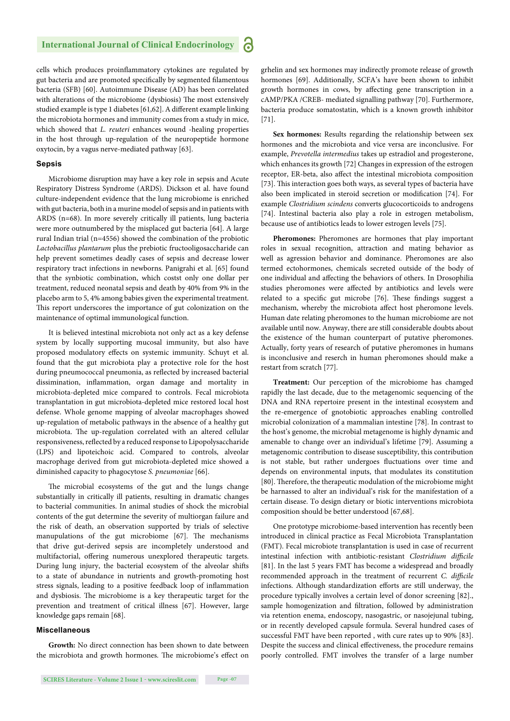cells which produces proinflammatory cytokines are regulated by gut bacteria and are promoted specifically by segmented filamentous bacteria (SFB) [60]. Autoimmune Disease (AD) has been correlated with alterations of the microbiome (dysbiosis) The most extensively studied example is type 1 diabetes [61,62]. A different example linking the microbiota hormones and immunity comes from a study in mice, which showed that *L. reuteri* enhances wound -healing properties in the host through up-regulation of the neuropeptide hormone oxytocin, by a vagus nerve-mediated pathway [63].

#### **Sepsis**

Microbiome disruption may have a key role in sepsis and Acute Respiratory Distress Syndrome (ARDS). Dickson et al. have found culture-independent evidence that the lung microbiome is enriched with gut bacteria, both in a murine model of sepsis and in patients with ARDS (n=68). In more severely critically ill patients, lung bacteria were more outnumbered by the misplaced gut bacteria [64]. A large rural Indian trial (n=4556) showed the combination of the probiotic *Lactobacillus plantarum* plus the prebiotic fructooligosaccharide can help prevent sometimes deadly cases of sepsis and decrease lower respiratory tract infections in newborns. Panigrahi et al. [65] found that the synbiotic combination, which costst only one dollar per treatment, reduced neonatal sepsis and death by 40% from 9% in the placebo arm to 5, 4% among babies given the experimental treatment. This report underscores the importance of gut colonization on the maintenance of optimal immunological function.

It is believed intestinal microbiota not only act as a key defense system by locally supporting mucosal immunity, but also have proposed modulatory effects on systemic immunity. Schuyt et al. found that the gut microbiota play a protective role for the host during pneumococcal pneumonia, as reflected by increased bacterial dissimination, inflammation, organ damage and mortality in microbiota-depleted mice compared to controls. Fecal microbiota transplantation in gut microbiota-depleted mice restored local host defense. Whole genome mapping of alveolar macrophages showed up-regulation of metabolic pathways in the absence of a healthy gut microbiota. The up-regulation correlated with an altered cellular responsiveness, reflected by a reduced response to Lipopolysaccharide (LPS) and lipoteichoic acid. Compared to controls, alveolar macrophage derived from gut microbiota-depleted mice showed a diminished capacity to phagocytose *S. pneumoniae* [66].

The microbial ecosystems of the gut and the lungs change substantially in critically ill patients, resulting in dramatic changes to bacterial communities. In animal studies of shock the microbial contents of the gut determine the severity of multiorgan failure and the risk of death, an observation supported by trials of selective manupulations of the gut microbiome [67]. The mechanisms that drive gut-derived sepsis are incompletely understood and multifactorial, offering numerous unexplored therapeutic targets. During lung injury, the bacterial ecosystem of the alveolar shifts to a state of abundance in nutrients and growth-promoting host stress signals, leading to a positive feedback loop of inflammation and dysbiosis. The microbiome is a key therapeutic target for the prevention and treatment of critical illness [67]. However, large knowledge gaps remain [68].

#### **Miscellaneous**

**Growth:** No direct connection has been shown to date between the microbiota and growth hormones. The microbiome's effect on

grhelin and sex hormones may indirectly promote release of growth hormones [69]. Additionally, SCFA's have been shown to inhibit growth hormones in cows, by affecting gene transcription in a cAMP/PKA /CREB- mediated signalling pathway [70]. Furthermore, bacteria produce somatostatin, which is a known growth inhibitor [71].

**Sex hormones:** Results regarding the relationship between sex hormones and the microbiota and vice versa are inconclusive. For example, *Prevotella intermedius* takes up estradiol and progesterone, which enhances its growth [72] Changes in expression of the estrogen receptor, ER-beta, also affect the intestinal microbiota composition [73]. This interaction goes both ways, as several types of bacteria have also been implicated in steroid secretion or modification [74]. For example *Clostridium scindens* converts glucocorticoids to androgens [74]. Intestinal bacteria also play a role in estrogen metabolism, because use of antibiotics leads to lower estrogen levels [75].

**Pheromones:** Pheromones are hormones that play important roles in sexual recognition, attraction and mating behavior as well as agression behavior and dominance. Pheromones are also termed ectohormones, chemicals secreted outside of the body of one individual and affecting the behaviors of others. In Drosophilia studies pheromones were affected by antibiotics and levels were related to a specific gut microbe [76]. These findings suggest a mechanism, whereby the microbiota affect host pheromone levels. Human date relating pheromones to the human microbiome are not available until now. Anyway, there are still considerable doubts about the existence of the human counterpart of putative pheromones. Actually, forty years of research of putative pheromones in humans is inconclusive and reserch in human pheromones should make a restart from scratch [77].

**Treatment:** Our perception of the microbiome has chamged rapidly the last decade, due to the metagenomic sequencing of the DNA and RNA repertoire present in the intestinal ecosystem and the re-emergence of gnotobiotic approaches enabling controlled microbial colonization of a mammalian intestine [78]. In contrast to the host's genome, the microbial metagenome is highly dynamic and amenable to change over an individual's lifetime [79]. Assuming a metagenomic contribution to disease susceptibility, this contribution is not stable, but rather undergoes fluctuations over time and depends on environmental inputs, that modulates its constitution [80]. Therefore, the therapeutic modulation of the microbiome might be harnassed to alter an individual's risk for the manifestation of a certain disease. To design dietary or biotic interventions microbiota composition should be better understood [67,68].

One prototype microbiome-based intervention has recently been introduced in clinical practice as Fecal Microbiota Transplantation (FMT). Fecal microbiote transplantation is used in case of recurrent intestinal infection with antibiotic-resistant *Clostridium difficile* [81]. In the last 5 years FMT has become a widespread and broadly recommended approach in the treatment of recurrent *C. difficile* infections. Although standardization efforts are still underway, the procedure typically involves a certain level of donor screening [82]., sample homogenization and filtration, followed by administration via retention enema, endoscopy, nasogastric, or nasojejunal tubing, or in recently developed capsule formula. Several hundred cases of successful FMT have been reported , with cure rates up to 90% [83]. Despite the success and clinical effectiveness, the procedure remains poorly controlled. FMT involves the transfer of a large number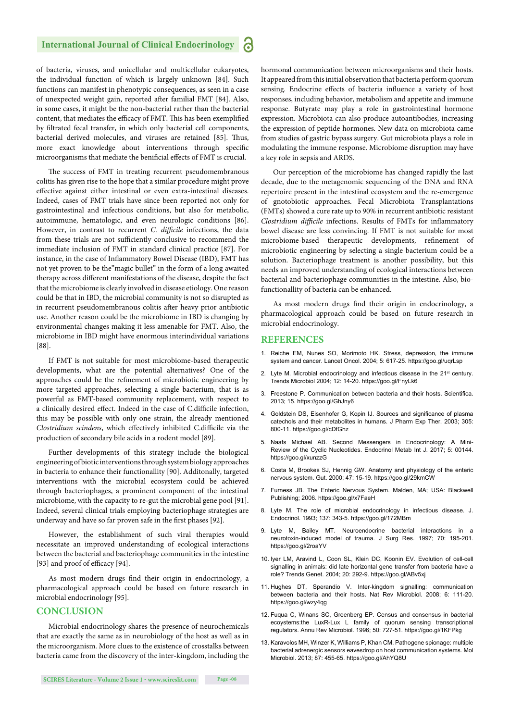of bacteria, viruses, and unicellular and multicellular eukaryotes, the individual function of which is largely unknown [84]. Such functions can manifest in phenotypic consequences, as seen in a case of unexpected weight gain, reported after familial FMT [84]. Also, in some cases, it might be the non-bacterial rather than the bacterial content, that mediates the efficacy of FMT. This has been exemplified by filtrated fecal transfer, in which only bacterial cell components, bacterial derived molecules, and viruses are retained [85]. Thus, more exact knowledge about interventions through specific microorganisms that mediate the benificial effects of FMT is crucial.

The success of FMT in treating recurrent pseudomembranous colitis has given rise to the hope that a similar procedure might prove effective against either intestinal or even extra-intestinal diseases. Indeed, cases of FMT trials have since been reported not only for gastrointestinal and infectious conditions, but also for metabolic, autoimmune, hematologic, and even neurologic conditions [86]. However, in contrast to recurrent *C. difficile* infections, the data from these trials are not sufficiently conclusive to recommend the immediate inclusion of FMT in standard clinical practice [87]. For instance, in the case of Inflammatory Bowel Disease (IBD), FMT has not yet proven to be the"magic bullet" in the form of a long awaited therapy across different manifestations of the disease, despite the fact that the microbiome is clearly involved in disease etiology. One reason could be that in IBD, the microbial community is not so disrupted as in recurrent pseudomembranous colitis after heavy prior antibiotic use. Another reason could be the microbiome in IBD is changing by environmental changes making it less amenable for FMT. Also, the microbiome in IBD might have enormous interindividual variations [88].

If FMT is not suitable for most microbiome-based therapeutic developments, what are the potential alternatives? One of the approaches could be the refinement of microbiotic engineering by more targeted approaches, selecting a single bacterium, that is as powerful as FMT-based community replacement, with respect to a clinically desired effect. Indeed in the case of C.difficile infection, this may be possible with only one strain, the already mentioned *Clostridium scindens*, which effectively inhibited C.difficile via the production of secondary bile acids in a rodent model [89].

Further developments of this strategy include the biological engineering of biotic interventions through system biology approaches in bacteria to enhance their functionallity [90]. Additonally, targeted interventions with the microbial ecosystem could be achieved through bacteriophages, a prominent component of the intestinal microbiome, with the capacity to re-gut the microbial gene pool [91]. Indeed, several clinical trials employing bacteriophage strategies are underway and have so far proven safe in the first phases [92].

However, the establishment of such viral therapies would necessitate an improved understanding of ecological interactions between the bacterial and bacteriophage communities in the intestine [93] and proof of efficacy [94].

As most modern drugs find their origin in endocrinology, a pharmacological approach could be based on future research in microbial endocrinology [95].

#### **CONCLUSION**

Microbial endocrinology shares the presence of neurochemicals that are exactly the same as in neurobiology of the host as well as in the microorganism. More clues to the existence of crosstalks between bacteria came from the discovery of the inter-kingdom, including the hormonal communication between microorganisms and their hosts. It appeared from this initial observation that bacteria perform quorum sensing. Endocrine effects of bacteria influence a variety of host responses, including behavior, metabolism and appetite and immune response. Butyrate may play a role in gastrointestinal hormone expression. Microbiota can also produce autoantibodies, increasing the expression of peptide hormones. New data on microbiota came from studies of gastric bypass surgery. Gut microbiota plays a role in modulating the immune response. Microbiome disruption may have a key role in sepsis and ARDS.

Our perception of the microbiome has changed rapidly the last decade, due to the metagenomic sequencing of the DNA and RNA repertoire present in the intestinal ecosystem and the re-emergence of gnotobiotic approaches. Fecal Microbiota Transplantations (FMTs) showed a cure rate up to 90% in recurrent antibiotic resistant *Clostridium difficile* infections. Results of FMTs for inflammatory bowel disease are less convincing. If FMT is not suitable for most microbiome-based therapeutic developments, refinement of microbiotic engineering by selecting a single bacterium could be a solution. Bacteriophage treatment is another possibility, but this needs an improved understanding of ecological interactions between bacterial and bacteriophage communities in the intestine. Also, biofunctionallity of bacteria can be enhanced.

As most modern drugs find their origin in endocrinology, a pharmacological approach could be based on future research in microbial endocrinology.

#### **REFERENCES**

- 1. Reiche EM, Nunes SO, Morimoto HK. Stress, depression, the immune system and cancer. Lancet Oncol. 2004; 5: 617-25. https://goo.gl/uqrLsp
- 2. Lyte M. Microbial endocrinology and infectious disease in the 21<sup>st</sup> century. Trends Microbiol 2004; 12: 14-20. https://goo.gl/FnyLk6
- 3. Freestone P. Communication between bacteria and their hosts. Scientifica. 2013; 15. https://goo.gl/GhJny6
- 4. Goldstein DS, Eisenhofer G, Kopin IJ. Sources and significance of plasma catechols and their metabolites in humans. J Pharm Exp Ther. 2003; 305: 800-11. https://goo.gl/cDfGhz
- 5. Naafs Michael AB. Second Messengers in Endocrinology: A Mini-Review of the Cyclic Nucleotides. Endocrinol Metab Int J. 2017; 5: 00144. https://goo.gl/xunzzG
- 6. Costa M, Brookes SJ, Hennig GW. Anatomy and physiology of the enteric nervous system. Gut. 2000; 47: 15-19. https://goo.gl/29kmCW
- 7. Furness JB. The Enteric Nervous System. Malden, MA; USA: Blackwell Publishing; 2006. https://goo.gl/x7FaeH
- 8. Lyte M. The role of microbial endocrinology in infectious disease. J. Endocrinol. 1993; 137: 343-5. https://goo.gl/172MBm
- 9. Lyte M, Bailey MT. Neuroendocrine bacterial interactions in a neurotoxin-induced model of trauma. J Surg Res. 1997; 70: 195-201. https://goo.gl/2roaYV
- 10. Iyer LM, Aravind L, Coon SL, Klein DC, Koonin EV. Evolution of cell-cell signalling in animals: did late horizontal gene transfer from bacteria have a role? Trends Genet. 2004; 20: 292-9. https://goo.gl/ABv5xj
- 11. Hughes DT, Sperandio V. Inter-kingdom signalling: communication between bacteria and their hosts. Nat Rev Microbiol. 2008; 6: 111-20. https://goo.gl/wzy4qg
- 12. Fuqua C, Winans SC, Greenberg EP. Census and consensus in bacterial ecoystems:the LuxR-Lux L family of quorum sensing transcriptional regulators. Annu Rev Microbiol. 1996; 50: 727-51. https://goo.gl/1KFPkg
- 13. Karavolos MH, Winzer K, Williams P, Khan CM. Pathogene spionage: multiple bacterial adrenergic sensors eavesdrop on host communication systems. Mol Microbiol. 2013; 87: 455-65. https://goo.gl/AhYQ8U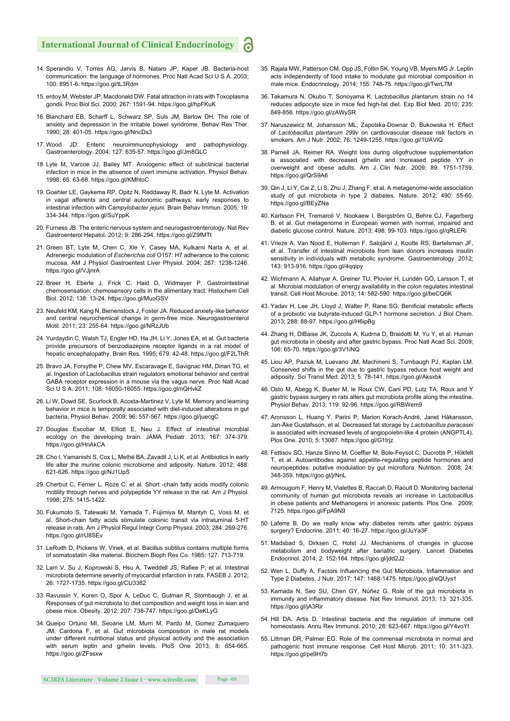- 14. Sperandio V, Torres AG, Jarvis B, Nataro JP, Kaper JB. Bacteria-host communication: the language of hormones. Proc Natl Acad Sci U S A. 2003; 100: 8951-6. https://goo.gl/tL3Rdm
- 15. erdoy M, Webster JP, Macdonald DW. Fatal attraction in rats with Toxoplasma gondii. Proc Biol Sci. 2000; 267: 1591-94. https://goo.gl/hpFKuK
- 16. Blanchard EB, Scharff L, Schwarz SP, Suls JM, Barlow DH. The role of anxiety and depression in the irritable bowel syndrome. Behav Res Ther. 1990; 28: 401-05. https://goo.gl/NncDs3
- 17. Wood JD. Enteric neuroimmunophysiology and pathophysiology. Gastroenterology. 2004; 127: 635-57. https://goo.gl/Jm8GLC
- 18. Lyte M, Varcoe JJ, Bailey MT. Anxiogenic effect of subclinical bacterial infection in mice in the absence of overt immune activation. Physiol Behav. 1998; 65: 63-68. https://goo.gl/KMhtoC
- 19. Goehler LE, Gaykema RP, Opitz N, Reddaway R, Badr N, Lyte M. Activation in vagal afferents and central autonomic pathways: early responses to intestinal infection with *Campylobacter jejuni*. Brain Behav Immun. 2005; 19: 334-344. https://goo.gl/SuYppK
- 20. Furness JB. The enteric nervous system and neurogastroenterology. Nat Rev Gastroenterol Hepatol. 2012; 9: 286-294. https://goo.gl/Z9fMTt
- 21. Green BT, Lyte M, Chen C, Xie Y, Casey MA, Kulkarni Narla A, et al. Adrenergic modulation of *Escherichia coli* O157: H7 adherance to the colonic mucosa. AM J Physiol Gastroentest Liver Physiol. 2004; 287: 1238-1246. https://goo.gl/VJjnrA
- 22. Breer H, Eberle J, Frick C, Haid D, Widmayer P. Gastrointestinal chemosensation: chemosensory cells in the alimentary tract. Histochem Cell Biol. 2012; 138: 13-24. https://goo.gl/MuoGSV
- 23. Neufeld KM, Kang N, Bienenstock J, Foster JA. Reduced anxiety-like behavior and central neurochemical change in germ-free mice. Neurogastroenterol Motil. 2011; 23: 255-64. https://goo.gl/NRzJUb
- 24. Yurdaydin C, Walsh TJ, Engler HD, Ha JH, Li Y, Jones EA, et al. Gut bacteria provide precursors of benzodiazepine receptor ligands in a rat model of hepatic encephalopathy. Brain Res. 1995; 679: 42-48. https://goo.gl/F2LThR
- 25. Bravo JA, Forsythe P, Chew MV, Escaravage E, Savignac HM, Dinan TG, et al. Ingestion of Lactobacillus strain regulators emotional behavior and central GABA receptor expression in a mouse via the vagus nerve. Proc Natl Acad Sci U S A. 2011; 108: 16050-16055. https://goo.gl/nQHvkZ
- 26. Li W, Dowd SE, Scurlock B, Acosta-Martinez V, Lyte M. Memory and learning behavior in mice is temporally associated with diet-induced alterations in gut bacteria. Physiol Behav. 2009; 96: 557-567. https://goo.gl/juecgC
- 27. Douglas Escobar M, Elliott E, Neu J. Effect of intestinal microbial ecology on the developing brain. JAMA Pediatr. 2013; 167: 374-379. https://goo.gl/HnAkCA
- 28. Cho I, Yamanishi S, Cox L, Methé BA, Zavadil J, Li K, et al. Antibiotics in early life alter the murine colonic microbiome and adiposity. Nature. 2012; 488: 621-626. https://goo.gl/NJ1UpS
- 29. Cherbut C, Ferrier L, Roze C, et al. Short -chain fatty acids modify colonic motility through nerves and polypeptide YY release in the rat. Am J Physiol. 1998; 275: 1415-1422.
- 30. Fukumoto S, Tatewaki M, Yamada T, Fujimiya M, Mantyh C, Voss M, et al. Short-chain fatty acids stimulate coloinic transit via intraluminal 5-HT release in rats. Am J Physiol Regul Integr Comp Physiol. 2003; 284: 269-276. https://goo.gl/rU8SEv
- 31. LeRoith D, Pickens W, Vinek, et al. Bacillus subtilus contains multiple forms of somatostatin -like material. Biochem Bioph Res Co. 1985; 127: 713-719.
- 32. Lam V, Su J, Koprowski S, Hsu A, Tweddell JS, Rafiee P, et al. Intestinal microbiota determine severity of myocardial infarction in rats. FASEB J. 2012; 26: 1727-1735. https://goo.gl/CU3382
- 33. Ravussin Y, Koren O, Spor A, LeDuc C, Gutman R, Stombaugh J, et al. Responses of gut microbiota to diet composition and weight loss in lean and obese mice. Obesity. 2012; 207: 738-747. https://goo.gl/DeKLyG
- 34. Queipo Ortuno MI, Seoane LM, Murri M, Pardo M, Gomez Zumaquero JM, Cardona F, et al. Gut microbiota composition in male rat models under different nutritional status and physical activity and the associatiion with serum leptin and grhelin levels. PloS One 2013; 8: 654-665. https://goo.gl/ZFssxw
- 35. Rajala MW, Patterson CM, Opp JS, Foltin SK, Young VB, Myers MG Jr. Leptin acts independently of food intake to modulate gut microbial composition in male mice. Endocrinology. 2014; 155: 748-75. https://goo.gl/TwrL7M
- 36. Takamura N, Okubo T, Sonoyama K. Lactobacillus plantarum strain no 14 reduces adipocyte size in mice fed high-fat diet. Exp Biol Med. 2010; 235: 849-856. https://goo.gl/zAWySR
- 37. Naruszewicz M, Johansson ML, Zapolska-Downar D, Bukowska H. Effect of *Lactobacillus plantarum 299v* on cardiovascular disease risk factors in smokers. Am J Nutr. 2002; 76: 1249-1255. https://goo.gl/1UAViQ
- 38. Parnell JA, Reimer RA. Weight loss during oligofructose supplementation is associated with decreased grhelin and increased peptide YY in overweight and obese adults. Am J Clin Nutr. 2009; 89: 1751-1759. https://goo.gl/QrS9A6
- 39. Qin J, Li Y, Cai Z, Li S, Zhu J, Zhang F, et al. A metagenome-wide association study of gut microbiota in type 2 diabetes. Nature. 2012; 490: 55-60. https://goo.gl/BEyZNa
- 40. Karlsson FH, Tremaroli V, Nookaew I, Bergström G, Behre CJ, Fagerberg B, et al. Gut metagenome in European women with normal, impaired and diabetic glucose control. Nature. 2013; 498: 99-103. https://goo.gl/qRLERi
- 41. Vrieze A, Van Nood E, Holleman F, Salojärvi J, Kootte RS, Bartelsman JF, et al. Transfer of intestinal microbiota from lean donors increases insulin sensitivity in individuals with metabolic syndrome. Gastroenterology. 2012; 143: 913-916. https://goo.gl/4qqipy
- 42. Wichmann A, Allahyar A, Greiner TU, Plovier H, Lundén GÖ, Larsson T, et al. Microbial modulation of energy availability in the colon regulates intestinal transit. Cell Host Microbe. 2013; 14: 582-590. https://goo.gl/beCQ6K
- 43. Yadav H, Lee JH, Lloyd J, Walter P, Rane SG. Benificial metabolic effects of a probiotic via butyrate-induced GLP-1 hormone secretion. J Biol Chem. 2013; 288: 88-97. https://goo.gl/H6ipBg
- 44. Zhang H, DiBaise JK, Zuccola A, Kudrna D, Braidotti M, Yu Y, et al. Human gut microbiota in obesity and after gastric bypass. Proc Natl Acad Sci. 2009; 106: 65-70. https://goo.gl/3V1iNQ
- 45. Liou AP, Paziuk M, Luevano JM, Machineni S, Turnbaugh PJ, Kaplan LM. Conserved shifts in the gut due to gastric bypass reduce host weight and adiposity. Sci Transl Med. 2013; 5: 78-141. https://goo.gl/Aksxbk
- 46. Osto M, Abegg K, Bueter M, le Roux CW, Cani PD, Lutz TA. Roux and Y gastric bypass surgery in rats alters gut microbiota profile along the intestine. Physiol Behav. 2013; 119: 92-96. https://goo.gl/RBWem9
- 47. Aronsson L, Huang Y, Parini P, Marion Korach-André, Janet Håkansson, Jan-Åke Gustafsson, et al. Decreased fat storage by *Lactobacillus paracasei* is associated with increased levels of angiopoietin-like 4 protein (ANGPTL4). Plos One. 2010; 5: 13087. https://goo.gl/G1trjz
- 48. Fettisov SO, Hanze Sinno M, Coeffier M, Bole-Feysot C, Ducrotté P, Hökfelt T, et al. Autoantibodes against appetite-regulating peptide hormones and neuropeptides: putative modulation by gut microflora. Nutrition. 2008; 24: 348-359. https://goo.gl/jrNriL
- 49. Armougom F, Henry M, Vialettes B, Raccah D, Raoult D. Monitoring bacterial community of human gut microbiota reveals an increase in Lactobacillus in obese patients and Methanogens in anorexic patients. Plos One. 2009; 7125. https://goo.gl/FpA9N9
- 50. Laferre B. Do we really know why diabetes remits after gastric bypass surgery? Endocrine. 2011; 40: 16-27. https://goo.gl/JuYa3F
- 51. Madsbad S, Dirksen C, Holst JJ. Mechanisms of changes in glucose metabolism and bodyweight after bariatric surgery. Lancet Diabetes Endocrinol. 2014; 2: 152-164. https://goo.gl/jdd2J2
- 52. Wen L, Duffy A. Factors Influencing the Gut Microbiota, Inflammation and Type 2 Diabetes. J Nutr. 2017; 147: 1468-1475. https://goo.gl/eQUys1
- 53. Kamada N, Seo SU, Chen GY, Núñez G. Role of the gut microbiota in immunity and inflammatory disease. Nat Rev Immunol. 2013; 13: 321-335. https://goo.gl/jA3Rir
- 54. Hill DA, Artis D. Intestinal bacteria and the regulation of immune cell homeostasis. Annu Rev Immunol. 2010; 28: 623-667. https://goo.gl/Y4voYt
- 55. Littman DR, Palmer EG. Role of the commensal microbiota in normal and pathogenic host immune response. Cell Host Microb. 2011; 10: 311-323. https://goo.gl/pe9H7b